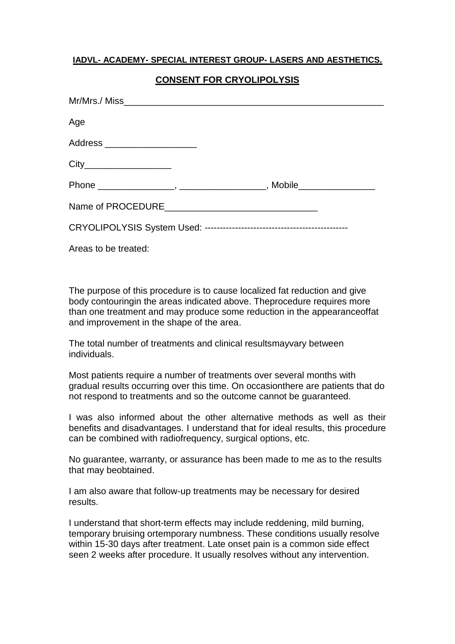## **IADVL- ACADEMY- SPECIAL INTEREST GROUP- LASERS AND AESTHETICS.**

## **CONSENT FOR CRYOLIPOLYSIS**

| Age                            |  |
|--------------------------------|--|
| Address ______________________ |  |
| City_____________________      |  |
|                                |  |
|                                |  |
|                                |  |
|                                |  |

Areas to be treated:

The purpose of this procedure is to cause localized fat reduction and give body contouringin the areas indicated above. Theprocedure requires more than one treatment and may produce some reduction in the appearanceoffat and improvement in the shape of the area.

The total number of treatments and clinical resultsmayvary between individuals.

Most patients require a number of treatments over several months with gradual results occurring over this time. On occasionthere are patients that do not respond to treatments and so the outcome cannot be guaranteed.

I was also informed about the other alternative methods as well as their benefits and disadvantages. I understand that for ideal results, this procedure can be combined with radiofrequency, surgical options, etc.

No guarantee, warranty, or assurance has been made to me as to the results that may beobtained.

I am also aware that follow-up treatments may be necessary for desired results.

I understand that short-term effects may include reddening, mild burning, temporary bruising ortemporary numbness. These conditions usually resolve within 15-30 days after treatment. Late onset pain is a common side effect seen 2 weeks after procedure. It usually resolves without any intervention.